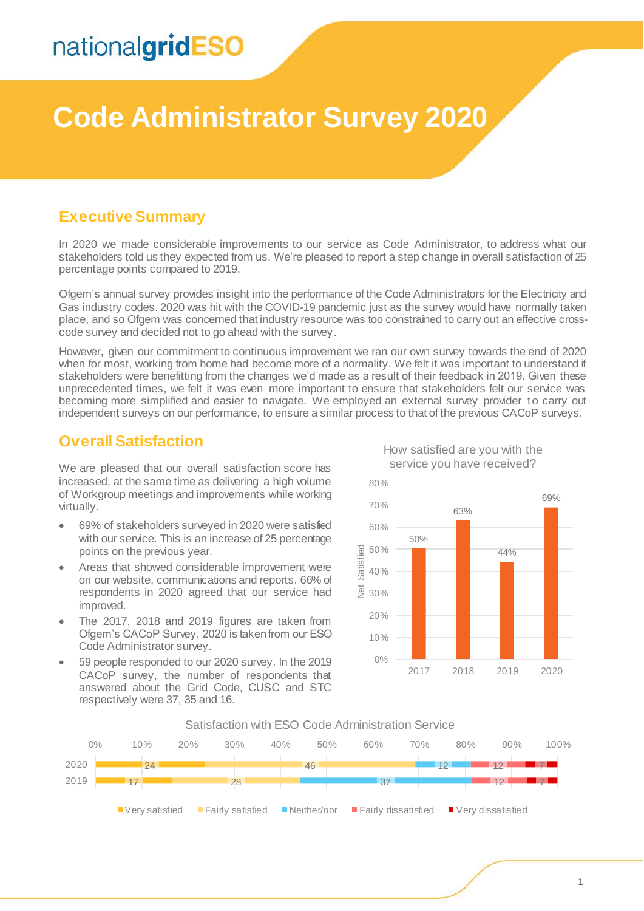# **Code Administrator Survey 2020**

### **Executive Summary**

In 2020 we made considerable improvements to our service as Code Administrator, to address what our stakeholders told us they expected from us. We're pleased to report a step change in overall satisfaction of 25 percentage points compared to 2019.

Ofgem's annual survey provides insight into the performance of the Code Administrators for the Electricity and Gas industry codes. 2020 was hit with the COVID-19 pandemic just as the survey would have normally taken place, and so Ofgem was concerned that industry resource was too constrained to carry out an effective crosscode survey and decided not to go ahead with the survey.

However, given our commitment to continuous improvement we ran our own survey towards the end of 2020 when for most, working from home had become more of a normality. We felt it was important to understand if stakeholders were benefitting from the changes we'd made as a result of their feedback in 2019. Given these unprecedented times, we felt it was even more important to ensure that stakeholders felt our service was becoming more simplified and easier to navigate. We employed an external survey provider to carry out independent surveys on our performance, to ensure a similar process to that of the previous CACoP surveys.

### **Overall Satisfaction**

We are pleased that our overall satisfaction score has increased, at the same time as delivering a high volume of Workgroup meetings and improvements while working virtually.

- 69% of stakeholders surveyed in 2020 were satisfied with our service. This is an increase of 25 percentage points on the previous year.
- Areas that showed considerable improvement were on our website, communications and reports. 66% of respondents in 2020 agreed that our service had improved.
- The 2017, 2018 and 2019 figures are taken from Ofgem's CACoP Survey. 2020 is taken from our ESO Code Administrator survey.
- 59 people responded to our 2020 survey. In the 2019 CACoP survey, the number of respondents that answered about the Grid Code, CUSC and STC respectively were 37, 35 and 16.



How satisfied are you with the service you have received?

#### Satisfaction with ESO Code Administration Service

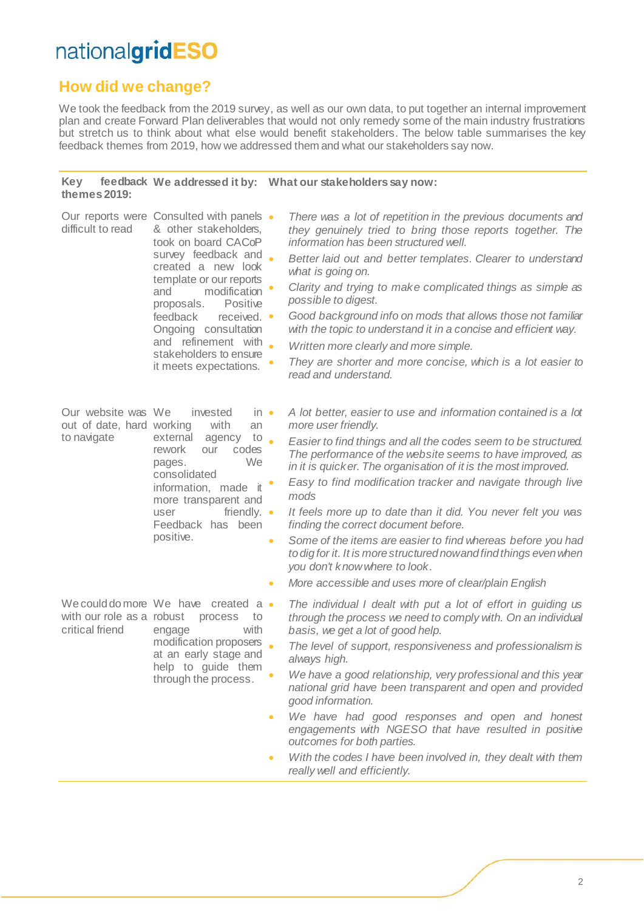## **How did we change?**

We took the feedback from the 2019 survey, as well as our own data, to put together an internal improvement plan and create Forward Plan deliverables that would not only remedy some of the main industry frustrations but stretch us to think about what else would benefit stakeholders. The below table summarises the key feedback themes from 2019, how we addressed them and what our stakeholders say now.

#### **Key feedback We addressed it by: What our stakeholders say now: themes 2019:**

| difficult to read                                              | Our reports were Consulted with panels •<br>& other stakeholders,<br>took on board CACoP<br>survey feedback and<br>created a new look<br>template or our reports<br>modification<br>and<br>Positive<br>proposals.<br>feedback<br>received. •<br>Ongoing consultation<br>and refinement with<br>stakeholders to ensure<br>it meets expectations. |                                                | There was a lot of repetition in the previous documents and<br>they genuinely tried to bring those reports together. The<br>information has been structured well.<br>Better laid out and better templates. Clearer to understand<br>what is going on.<br>Clarity and trying to make complicated things as simple as<br>possible to digest.<br>Good background info on mods that allows those not familiar<br>with the topic to understand it in a concise and efficient way.<br>Written more clearly and more simple.<br>They are shorter and more concise, which is a lot easier to<br>read and understand.                                                                                        |
|----------------------------------------------------------------|-------------------------------------------------------------------------------------------------------------------------------------------------------------------------------------------------------------------------------------------------------------------------------------------------------------------------------------------------|------------------------------------------------|-----------------------------------------------------------------------------------------------------------------------------------------------------------------------------------------------------------------------------------------------------------------------------------------------------------------------------------------------------------------------------------------------------------------------------------------------------------------------------------------------------------------------------------------------------------------------------------------------------------------------------------------------------------------------------------------------------|
| Our website was We<br>out of date, hard working<br>to navigate | invested<br>$in \bullet$<br>with<br>an<br>external<br>to<br>agency<br>rework<br>codes<br>our<br>We<br>pages.<br>consolidated<br>information, made it<br>more transparent and<br>friendly. $\bullet$<br>user<br>Feedback has been<br>positive.                                                                                                   | $\ddot{\phantom{0}}$<br>$\bullet$<br>$\bullet$ | A lot better, easier to use and information contained is a lot<br>more user friendly.<br>Easier to find things and all the codes seem to be structured.<br>The performance of the website seems to have improved, as<br>in it is quicker. The organisation of it is the most improved.<br>Easy to find modification tracker and navigate through live<br>mods<br>It feels more up to date than it did. You never felt you was<br>finding the correct document before.<br>Some of the items are easier to find whereas before you had<br>to dig for it. It is more structured now and find things even when<br>you don't know where to look.<br>More accessible and uses more of clear/plain English |
| with our role as a robust<br>critical friend                   | We could do more We have created a .<br>process<br>to<br>with<br>engage<br>modification proposers<br>at an early stage and<br>help to guide them<br>through the process.                                                                                                                                                                        | $\bullet$<br>$\bullet$<br>$\bullet$            | The individual I dealt with put a lot of effort in guiding us<br>through the process we need to comply with. On an individual<br>basis, we get a lot of good help.<br>The level of support, responsiveness and professionalism is<br>always high.<br>We have a good relationship, very professional and this year<br>national grid have been transparent and open and provided<br>good information.<br>We have had good responses and open and honest<br>engagements with NGESO that have resulted in positive<br>outcomes for both parties.<br>With the codes I have been involved in, they dealt with them<br>really well and efficiently.                                                        |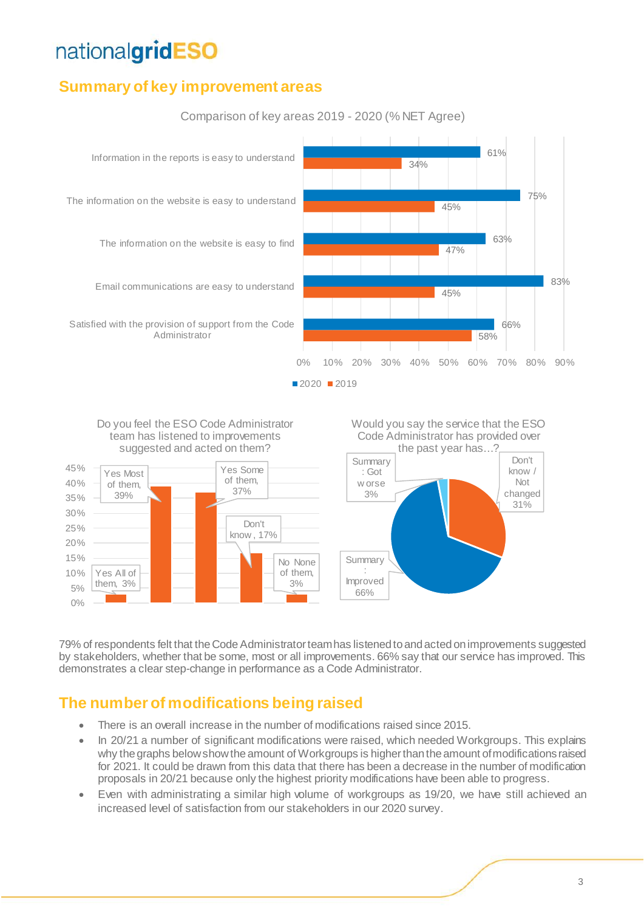## **Summary of key improvement areas**



Comparison of key areas 2019 - 2020 (% NET Agree)



79% of respondents felt that the Code Administrator team has listened to and acted on improvements suggested by stakeholders, whether that be some, most or all improvements. 66% say that our service has improved. This demonstrates a clear step-change in performance as a Code Administrator.

## **The number of modifications being raised**

- There is an overall increase in the number of modifications raised since 2015.
- In 20/21 a number of significant modifications were raised, which needed Workgroups. This explains why the graphs below show the amount of Workgroups is higher than the amount of modifications raised for 2021. It could be drawn from this data that there has been a decrease in the number of modification proposals in 20/21 because only the highest priority modifications have been able to progress.
- Even with administrating a similar high volume of workgroups as 19/20, we have still achieved an increased level of satisfaction from our stakeholders in our 2020 survey.